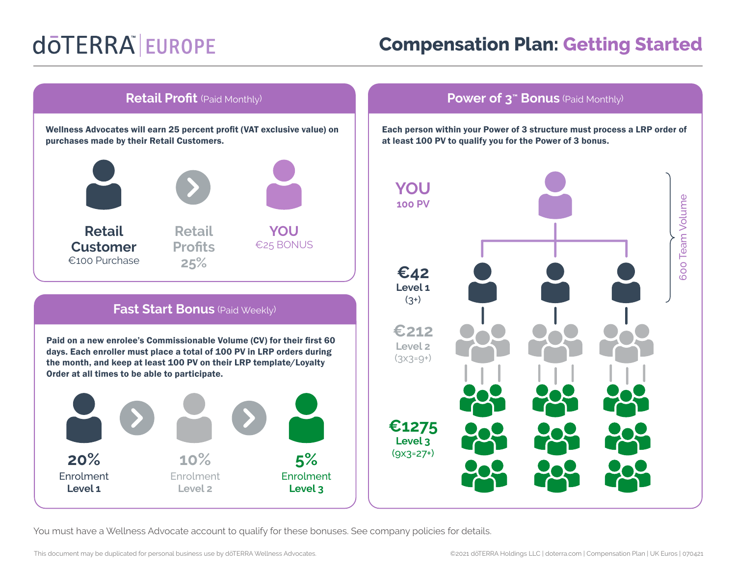## dōTERRA EUROPE

## **Compensation Plan: Getting Started**



Each person within your Power of 3 structure must process a LRP order of at least 100 PV to qualify you for the Power of 3 bonus.



You must have a Wellness Advocate account to qualify for these bonuses. See company policies for details.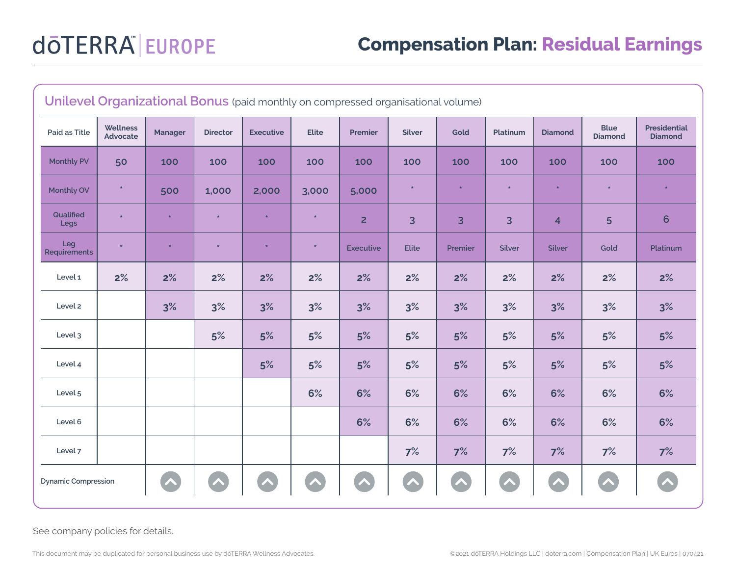| Unilevel Organizational Bonus (paid monthly on compressed organisational volume) |                      |                |                 |                  |              |                  |               |         |               |                         |                               |                                       |
|----------------------------------------------------------------------------------|----------------------|----------------|-----------------|------------------|--------------|------------------|---------------|---------|---------------|-------------------------|-------------------------------|---------------------------------------|
| Paid as Title                                                                    | Wellness<br>Advocate | <b>Manager</b> | <b>Director</b> | <b>Executive</b> | <b>Elite</b> | Premier          | <b>Silver</b> | Gold    | Platinum      | <b>Diamond</b>          | <b>Blue</b><br><b>Diamond</b> | <b>Presidential</b><br><b>Diamond</b> |
| <b>Monthly PV</b>                                                                | 50                   | 100            | 100             | 100              | 100          | 100              | 100           | 100     | 100           | 100                     | 100                           | 100                                   |
| Monthly OV                                                                       | $\ast$               | 500            | 1,000           | 2,000            | 3,000        | 5,000            | $\star$       | $\star$ | $\star$       | $\star$                 | $\star$                       | $\star$                               |
| Qualified<br>Legs                                                                | $\star$              | $\star$        | $\star$         |                  | $\star$      | $\overline{2}$   | 3             | 3       | 3             | $\overline{\mathbf{4}}$ | 5                             | 6                                     |
| Leg<br>Requirements                                                              | $\star$              | $\star$        | $\star$         |                  | $\star$      | <b>Executive</b> | <b>Elite</b>  | Premier | <b>Silver</b> | <b>Silver</b>           | Gold                          | Platinum                              |
| Level 1                                                                          | 2%                   | 2%             | 2%              | 2%               | 2%           | 2%               | 2%            | 2%      | 2%            | 2%                      | 2%                            | 2%                                    |
| Level 2                                                                          |                      | 3%             | 3%              | 3%               | 3%           | 3%               | 3%            | 3%      | 3%            | 3%                      | 3%                            | 3%                                    |
| Level 3                                                                          |                      |                | 5%              | 5%               | 5%           | 5%               | 5%            | 5%      | 5%            | 5%                      | 5%                            | 5%                                    |
| Level 4                                                                          |                      |                |                 | 5%               | 5%           | 5%               | 5%            | 5%      | 5%            | 5%                      | 5%                            | 5%                                    |
| Level 5                                                                          |                      |                |                 |                  | 6%           | 6%               | 6%            | 6%      | 6%            | 6%                      | 6%                            | 6%                                    |
| Level 6                                                                          |                      |                |                 |                  |              | 6%               | 6%            | 6%      | 6%            | 6%                      | 6%                            | 6%                                    |
| Level 7                                                                          |                      |                |                 |                  |              |                  | 7%            | 7%      | 7%            | 7%                      | 7%                            | 7%                                    |
| <b>Dynamic Compression</b>                                                       |                      | ∕₹             |                 |                  |              |                  |               |         |               |                         | $\overline{\phantom{a}}$      |                                       |

See company policies for details.